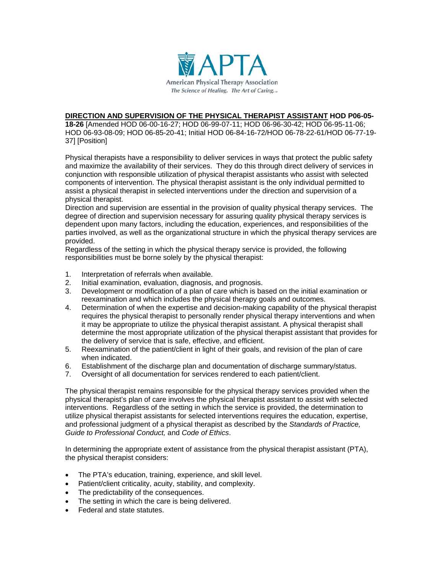

# **DIRECTION AND SUPERVISION OF THE PHYSICAL THERAPIST ASSISTANT HOD P06-05-**

**18-26** [Amended HOD 06-00-16-27; HOD 06-99-07-11; HOD 06-96-30-42; HOD 06-95-11-06; HOD 06-93-08-09; HOD 06-85-20-41; Initial HOD 06-84-16-72/HOD 06-78-22-61/HOD 06-77-19- 37] [Position]

Physical therapists have a responsibility to deliver services in ways that protect the public safety and maximize the availability of their services. They do this through direct delivery of services in conjunction with responsible utilization of physical therapist assistants who assist with selected components of intervention. The physical therapist assistant is the only individual permitted to assist a physical therapist in selected interventions under the direction and supervision of a physical therapist.

Direction and supervision are essential in the provision of quality physical therapy services. The degree of direction and supervision necessary for assuring quality physical therapy services is dependent upon many factors, including the education, experiences, and responsibilities of the parties involved, as well as the organizational structure in which the physical therapy services are provided.

Regardless of the setting in which the physical therapy service is provided, the following responsibilities must be borne solely by the physical therapist:

- 1. Interpretation of referrals when available.
- 2. Initial examination, evaluation, diagnosis, and prognosis.
- 3. Development or modification of a plan of care which is based on the initial examination or reexamination and which includes the physical therapy goals and outcomes.
- 4. Determination of when the expertise and decision-making capability of the physical therapist requires the physical therapist to personally render physical therapy interventions and when it may be appropriate to utilize the physical therapist assistant. A physical therapist shall determine the most appropriate utilization of the physical therapist assistant that provides for the delivery of service that is safe, effective, and efficient.
- 5. Reexamination of the patient/client in light of their goals, and revision of the plan of care when indicated.
- 6. Establishment of the discharge plan and documentation of discharge summary/status.
- 7. Oversight of all documentation for services rendered to each patient/client.

The physical therapist remains responsible for the physical therapy services provided when the physical therapist's plan of care involves the physical therapist assistant to assist with selected interventions. Regardless of the setting in which the service is provided, the determination to utilize physical therapist assistants for selected interventions requires the education, expertise, and professional judgment of a physical therapist as described by the *Standards of Practice, Guide to Professional Conduct,* and *Code of Ethics*.

In determining the appropriate extent of assistance from the physical therapist assistant (PTA), the physical therapist considers:

- The PTA's education, training, experience, and skill level.
- Patient/client criticality, acuity, stability, and complexity.
- The predictability of the consequences.
- The setting in which the care is being delivered.
- Federal and state statutes.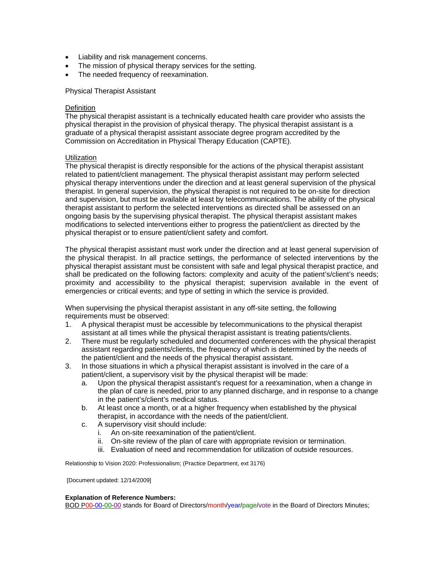- Liability and risk management concerns.
- The mission of physical therapy services for the setting.
- The needed frequency of reexamination.

### Physical Therapist Assistant

### **Definition**

The physical therapist assistant is a technically educated health care provider who assists the physical therapist in the provision of physical therapy. The physical therapist assistant is a graduate of a physical therapist assistant associate degree program accredited by the Commission on Accreditation in Physical Therapy Education (CAPTE).

## **Utilization**

The physical therapist is directly responsible for the actions of the physical therapist assistant related to patient/client management. The physical therapist assistant may perform selected physical therapy interventions under the direction and at least general supervision of the physical therapist. In general supervision, the physical therapist is not required to be on-site for direction and supervision, but must be available at least by telecommunications. The ability of the physical therapist assistant to perform the selected interventions as directed shall be assessed on an ongoing basis by the supervising physical therapist. The physical therapist assistant makes modifications to selected interventions either to progress the patient/client as directed by the physical therapist or to ensure patient/client safety and comfort.

The physical therapist assistant must work under the direction and at least general supervision of the physical therapist. In all practice settings, the performance of selected interventions by the physical therapist assistant must be consistent with safe and legal physical therapist practice, and shall be predicated on the following factors: complexity and acuity of the patient's/client's needs; proximity and accessibility to the physical therapist; supervision available in the event of emergencies or critical events; and type of setting in which the service is provided.

When supervising the physical therapist assistant in any off-site setting, the following requirements must be observed:

- 1. A physical therapist must be accessible by telecommunications to the physical therapist assistant at all times while the physical therapist assistant is treating patients/clients.
- 2. There must be regularly scheduled and documented conferences with the physical therapist assistant regarding patients/clients, the frequency of which is determined by the needs of the patient/client and the needs of the physical therapist assistant.
- 3. In those situations in which a physical therapist assistant is involved in the care of a patient/client, a supervisory visit by the physical therapist will be made:
	- a. Upon the physical therapist assistant's request for a reexamination, when a change in the plan of care is needed, prior to any planned discharge, and in response to a change in the patient's/client's medical status.
	- b. At least once a month, or at a higher frequency when established by the physical therapist, in accordance with the needs of the patient/client.
	- c. A supervisory visit should include:
		- i. An on-site reexamination of the patient/client.
		- ii. On-site review of the plan of care with appropriate revision or termination.
		- iii. Evaluation of need and recommendation for utilization of outside resources.

Relationship to Vision 2020: Professionalism; (Practice Department, ext 3176)

[Document updated: 12/14/2009]

#### **Explanation of Reference Numbers:**

BOD P00-00-00-00 stands for Board of Directors/month/year/page/vote in the Board of Directors Minutes;